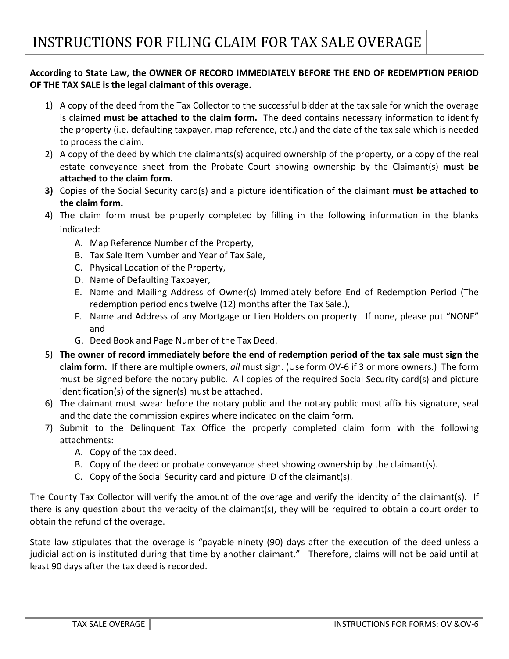## **According to State Law, the OWNER OF RECORD IMMEDIATELY BEFORE THE END OF REDEMPTION PERIOD OF THE TAX SALE is the legal claimant of this overage.**

- 1) A copy of the deed from the Tax Collector to the successful bidder at the tax sale for which the overage is claimed **must be attached to the claim form.** The deed contains necessary information to identify the property (i.e. defaulting taxpayer, map reference, etc.) and the date of the tax sale which is needed to process the claim.
- 2) A copy of the deed by which the claimants(s) acquired ownership of the property, or a copy of the real estate conveyance sheet from the Probate Court showing ownership by the Claimant(s) **must be attached to the claim form.**
- **3)** Copies of the Social Security card(s) and a picture identification of the claimant **must be attached to the claim form.**
- 4) The claim form must be properly completed by filling in the following information in the blanks indicated:
	- A. Map Reference Number of the Property,
	- B. Tax Sale Item Number and Year of Tax Sale,
	- C. Physical Location of the Property,
	- D. Name of Defaulting Taxpayer,
	- E. Name and Mailing Address of Owner(s) Immediately before End of Redemption Period (The redemption period ends twelve (12) months after the Tax Sale.),
	- F. Name and Address of any Mortgage or Lien Holders on property. If none, please put "NONE" and
	- G. Deed Book and Page Number of the Tax Deed.
- 5) **The owner of record immediately before the end of redemption period of the tax sale must sign the claim form.** If there are multiple owners, *all* must sign. (Use form OV-6 if 3 or more owners.) The form must be signed before the notary public. All copies of the required Social Security card(s) and picture identification(s) of the signer(s) must be attached.
- 6) The claimant must swear before the notary public and the notary public must affix his signature, seal and the date the commission expires where indicated on the claim form.
- 7) Submit to the Delinquent Tax Office the properly completed claim form with the following attachments:
	- A. Copy of the tax deed.
	- B. Copy of the deed or probate conveyance sheet showing ownership by the claimant(s).
	- C. Copy of the Social Security card and picture ID of the claimant(s).

The County Tax Collector will verify the amount of the overage and verify the identity of the claimant(s). If there is any question about the veracity of the claimant(s), they will be required to obtain a court order to obtain the refund of the overage.

State law stipulates that the overage is "payable ninety (90) days after the execution of the deed unless a judicial action is instituted during that time by another claimant." Therefore, claims will not be paid until at least 90 days after the tax deed is recorded.